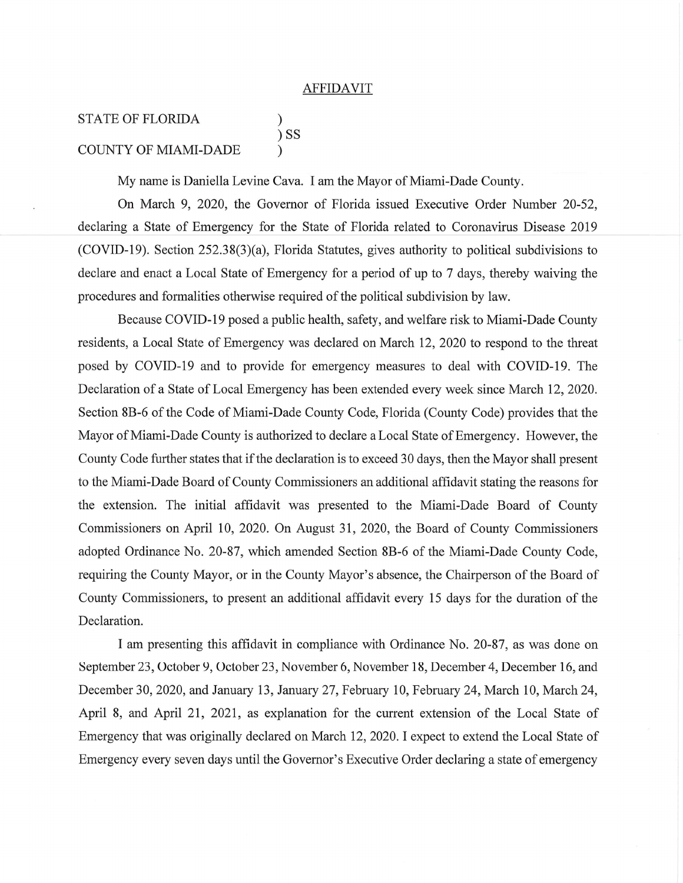## **AFFIDAVIT**

## **STATE OF FLORIDA**  $\mathcal{E}$  $)$  SS **COUNTY OF MIAMI-DADE**

My name is Daniella Levine Cava. I am the Mayor of Miami-Dade County.

On March 9, 2020, the Governor of Florida issued Executive Order Number 20-52, declaring a State of Emergency for the State of Florida related to Coronavirus Disease 2019  $(COVID-19)$ . Section 252.38(3)(a), Florida Statutes, gives authority to political subdivisions to declare and enact a Local State of Emergency for a period of up to 7 days, thereby waiving the procedures and formalities otherwise required of the political subdivision by law.

Because COVID-19 posed a public health, safety, and welfare risk to Miami-Dade County residents, a Local State of Emergency was declared on March 12, 2020 to respond to the threat posed by COVID-19 and to provide for emergency measures to deal with COVID-19. The Declaration of a State of Local Emergency has been extended every week since March 12, 2020. Section 8B-6 of the Code of Miami-Dade County Code, Florida (County Code) provides that the Mayor of Miami-Dade County is authorized to declare a Local State of Emergency. However, the County Code further states that if the declaration is to exceed 30 days, then the Mayor shall present to the Miami-Dade Board of County Commissioners an additional affidavit stating the reasons for the extension. The initial affidavit was presented to the Miami-Dade Board of County Commissioners on April 10, 2020. On August 31, 2020, the Board of County Commissioners adopted Ordinance No. 20-87, which amended Section 8B-6 of the Miami-Dade County Code, requiring the County Mayor, or in the County Mayor's absence, the Chairperson of the Board of County Commissioners, to present an additional affidavit every 15 days for the duration of the Declaration.

I am presenting this affidavit in compliance with Ordinance No. 20-87, as was done on September 23, October 9, October 23, November 6, November 18, December 4, December 16, and December 30, 2020, and January 13, January 27, February 10, February 24, March 10, March 24, April 8, and April 21, 2021, as explanation for the current extension of the Local State of Emergency that was originally declared on March 12, 2020. I expect to extend the Local State of Emergency every seven days until the Governor's Executive Order declaring a state of emergency